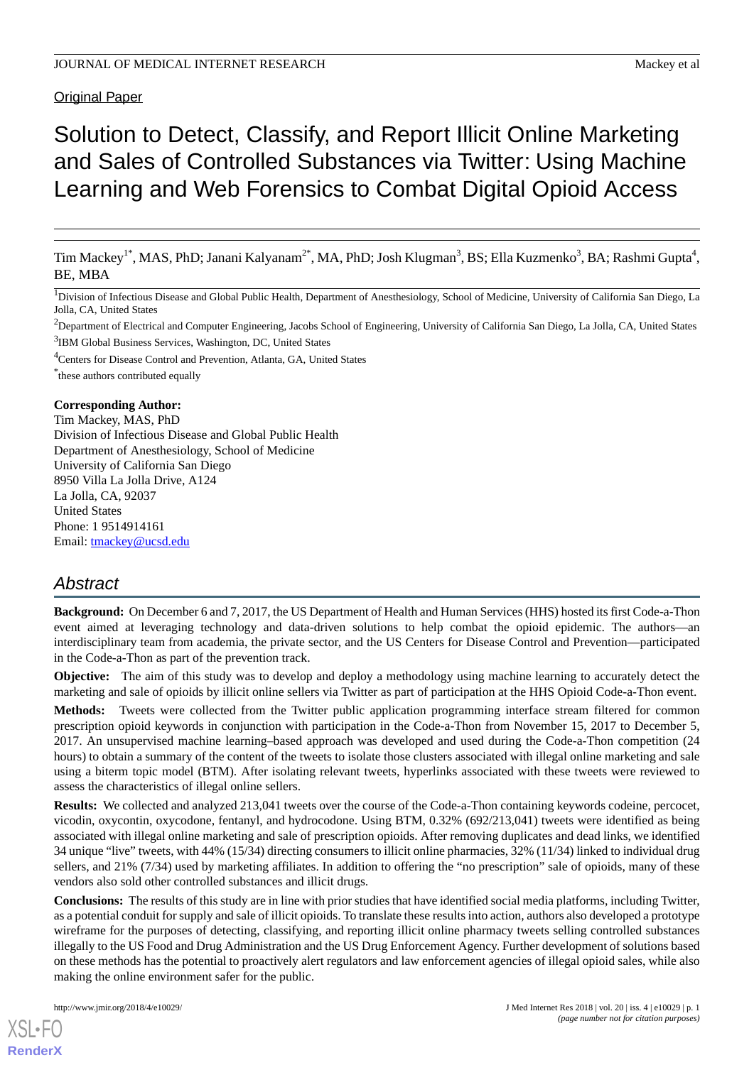#### Original Paper

# Solution to Detect, Classify, and Report Illicit Online Marketing and Sales of Controlled Substances via Twitter: Using Machine Learning and Web Forensics to Combat Digital Opioid Access

Tim Mackey<sup>1\*</sup>, MAS, PhD; Janani Kalyanam<sup>2\*</sup>, MA, PhD; Josh Klugman<sup>3</sup>, BS; Ella Kuzmenko<sup>3</sup>, BA; Rashmi Gupta<sup>4</sup>, BE, MBA

<sup>1</sup>Division of Infectious Disease and Global Public Health, Department of Anesthesiology, School of Medicine, University of California San Diego, La Jolla, CA, United States

<sup>2</sup>Department of Electrical and Computer Engineering, Jacobs School of Engineering, University of California San Diego, La Jolla, CA, United States <sup>3</sup>IBM Global Business Services, Washington, DC, United States

<sup>4</sup>Centers for Disease Control and Prevention, Atlanta, GA, United States

\* these authors contributed equally

#### **Corresponding Author:**

Tim Mackey, MAS, PhD Division of Infectious Disease and Global Public Health Department of Anesthesiology, School of Medicine University of California San Diego 8950 Villa La Jolla Drive, A124 La Jolla, CA, 92037 United States Phone: 1 9514914161 Email: [tmackey@ucsd.edu](mailto:tmackey@ucsd.edu)

# *Abstract*

**Background:** On December 6 and 7, 2017, the US Department of Health and Human Services (HHS) hosted its first Code-a-Thon event aimed at leveraging technology and data-driven solutions to help combat the opioid epidemic. The authors—an interdisciplinary team from academia, the private sector, and the US Centers for Disease Control and Prevention—participated in the Code-a-Thon as part of the prevention track.

**Objective:** The aim of this study was to develop and deploy a methodology using machine learning to accurately detect the marketing and sale of opioids by illicit online sellers via Twitter as part of participation at the HHS Opioid Code-a-Thon event.

**Methods:** Tweets were collected from the Twitter public application programming interface stream filtered for common prescription opioid keywords in conjunction with participation in the Code-a-Thon from November 15, 2017 to December 5, 2017. An unsupervised machine learning–based approach was developed and used during the Code-a-Thon competition (24 hours) to obtain a summary of the content of the tweets to isolate those clusters associated with illegal online marketing and sale using a biterm topic model (BTM). After isolating relevant tweets, hyperlinks associated with these tweets were reviewed to assess the characteristics of illegal online sellers.

**Results:** We collected and analyzed 213,041 tweets over the course of the Code-a-Thon containing keywords codeine, percocet, vicodin, oxycontin, oxycodone, fentanyl, and hydrocodone. Using BTM, 0.32% (692/213,041) tweets were identified as being associated with illegal online marketing and sale of prescription opioids. After removing duplicates and dead links, we identified 34 unique "live" tweets, with 44% (15/34) directing consumers to illicit online pharmacies, 32% (11/34) linked to individual drug sellers, and 21% (7/34) used by marketing affiliates. In addition to offering the "no prescription" sale of opioids, many of these vendors also sold other controlled substances and illicit drugs.

**Conclusions:** The results of this study are in line with prior studies that have identified social media platforms, including Twitter, as a potential conduit for supply and sale of illicit opioids. To translate these results into action, authors also developed a prototype wireframe for the purposes of detecting, classifying, and reporting illicit online pharmacy tweets selling controlled substances illegally to the US Food and Drug Administration and the US Drug Enforcement Agency. Further development of solutions based on these methods has the potential to proactively alert regulators and law enforcement agencies of illegal opioid sales, while also making the online environment safer for the public.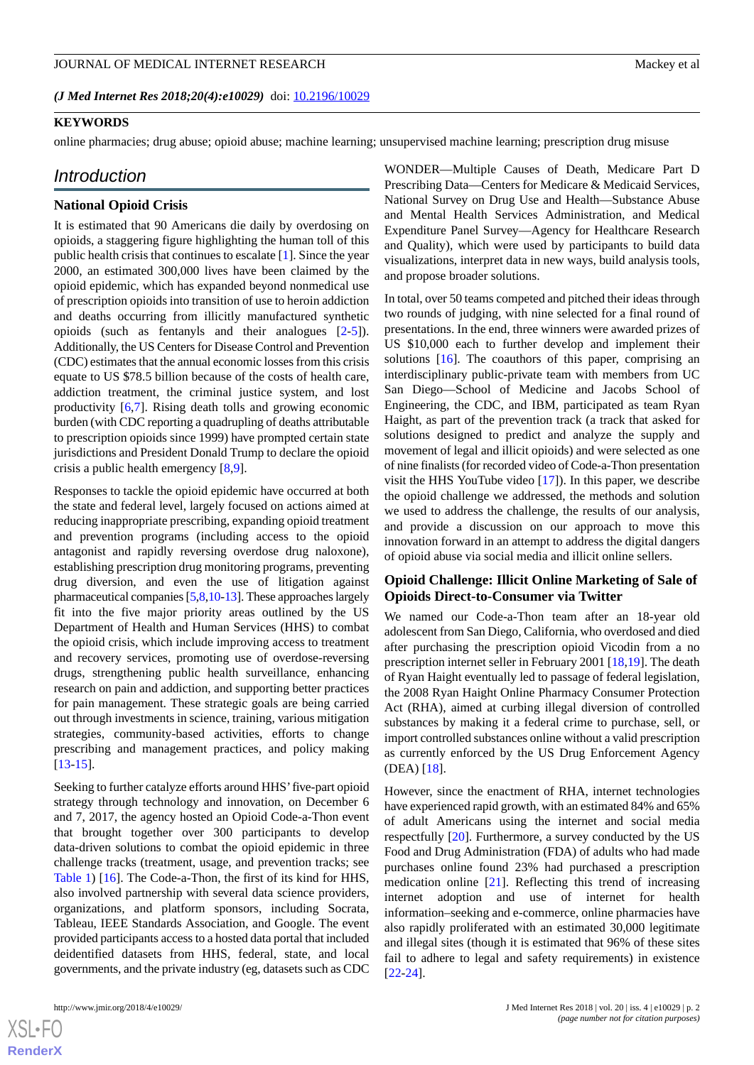#### **KEYWORDS**

online pharmacies; drug abuse; opioid abuse; machine learning; unsupervised machine learning; prescription drug misuse

#### *Introduction*

# **National Opioid Crisis**

It is estimated that 90 Americans die daily by overdosing on opioids, a staggering figure highlighting the human toll of this public health crisis that continues to escalate [\[1](#page-9-0)]. Since the year 2000, an estimated 300,000 lives have been claimed by the opioid epidemic, which has expanded beyond nonmedical use of prescription opioids into transition of use to heroin addiction and deaths occurring from illicitly manufactured synthetic opioids (such as fentanyls and their analogues [\[2](#page-9-1)-[5](#page-9-2)]). Additionally, the US Centers for Disease Control and Prevention (CDC) estimates that the annual economic losses from this crisis equate to US \$78.5 billion because of the costs of health care, addiction treatment, the criminal justice system, and lost productivity [\[6](#page-9-3),[7\]](#page-9-4). Rising death tolls and growing economic burden (with CDC reporting a quadrupling of deaths attributable to prescription opioids since 1999) have prompted certain state jurisdictions and President Donald Trump to declare the opioid crisis a public health emergency [[8](#page-9-5)[,9](#page-9-6)].

Responses to tackle the opioid epidemic have occurred at both the state and federal level, largely focused on actions aimed at reducing inappropriate prescribing, expanding opioid treatment and prevention programs (including access to the opioid antagonist and rapidly reversing overdose drug naloxone), establishing prescription drug monitoring programs, preventing drug diversion, and even the use of litigation against pharmaceutical companies [\[5](#page-9-2)[,8](#page-9-5)[,10](#page-9-7)[-13](#page-9-8)]. These approaches largely fit into the five major priority areas outlined by the US Department of Health and Human Services (HHS) to combat the opioid crisis, which include improving access to treatment and recovery services, promoting use of overdose-reversing drugs, strengthening public health surveillance, enhancing research on pain and addiction, and supporting better practices for pain management. These strategic goals are being carried out through investments in science, training, various mitigation strategies, community-based activities, efforts to change prescribing and management practices, and policy making [[13](#page-9-8)[-15](#page-9-9)].

Seeking to further catalyze efforts around HHS' five-part opioid strategy through technology and innovation, on December 6 and 7, 2017, the agency hosted an Opioid Code-a-Thon event that brought together over 300 participants to develop data-driven solutions to combat the opioid epidemic in three challenge tracks (treatment, usage, and prevention tracks; see [Table 1](#page-2-0)) [[16\]](#page-9-10). The Code-a-Thon, the first of its kind for HHS, also involved partnership with several data science providers, organizations, and platform sponsors, including Socrata, Tableau, IEEE Standards Association, and Google. The event provided participants access to a hosted data portal that included deidentified datasets from HHS, federal, state, and local governments, and the private industry (eg, datasets such as CDC

WONDER—Multiple Causes of Death, Medicare Part D Prescribing Data—Centers for Medicare & Medicaid Services, National Survey on Drug Use and Health—Substance Abuse and Mental Health Services Administration, and Medical Expenditure Panel Survey—Agency for Healthcare Research and Quality), which were used by participants to build data visualizations, interpret data in new ways, build analysis tools, and propose broader solutions.

In total, over 50 teams competed and pitched their ideas through two rounds of judging, with nine selected for a final round of presentations. In the end, three winners were awarded prizes of US \$10,000 each to further develop and implement their solutions [[16\]](#page-9-10). The coauthors of this paper, comprising an interdisciplinary public-private team with members from UC San Diego—School of Medicine and Jacobs School of Engineering, the CDC, and IBM, participated as team Ryan Haight, as part of the prevention track (a track that asked for solutions designed to predict and analyze the supply and movement of legal and illicit opioids) and were selected as one of nine finalists (for recorded video of Code-a-Thon presentation visit the HHS YouTube video [\[17](#page-9-11)]). In this paper, we describe the opioid challenge we addressed, the methods and solution we used to address the challenge, the results of our analysis, and provide a discussion on our approach to move this innovation forward in an attempt to address the digital dangers of opioid abuse via social media and illicit online sellers.

# **Opioid Challenge: Illicit Online Marketing of Sale of Opioids Direct-to-Consumer via Twitter**

We named our Code-a-Thon team after an 18-year old adolescent from San Diego, California, who overdosed and died after purchasing the prescription opioid Vicodin from a no prescription internet seller in February 2001 [\[18](#page-9-12),[19\]](#page-9-13). The death of Ryan Haight eventually led to passage of federal legislation, the 2008 Ryan Haight Online Pharmacy Consumer Protection Act (RHA), aimed at curbing illegal diversion of controlled substances by making it a federal crime to purchase, sell, or import controlled substances online without a valid prescription as currently enforced by the US Drug Enforcement Agency (DEA) [[18\]](#page-9-12).

However, since the enactment of RHA, internet technologies have experienced rapid growth, with an estimated 84% and 65% of adult Americans using the internet and social media respectfully [\[20](#page-9-14)]. Furthermore, a survey conducted by the US Food and Drug Administration (FDA) of adults who had made purchases online found 23% had purchased a prescription medication online [\[21](#page-9-15)]. Reflecting this trend of increasing internet adoption and use of internet for health information–seeking and e-commerce, online pharmacies have also rapidly proliferated with an estimated 30,000 legitimate and illegal sites (though it is estimated that 96% of these sites fail to adhere to legal and safety requirements) in existence [[22](#page-9-16)[-24](#page-10-0)].

```
XS-FO
RenderX
```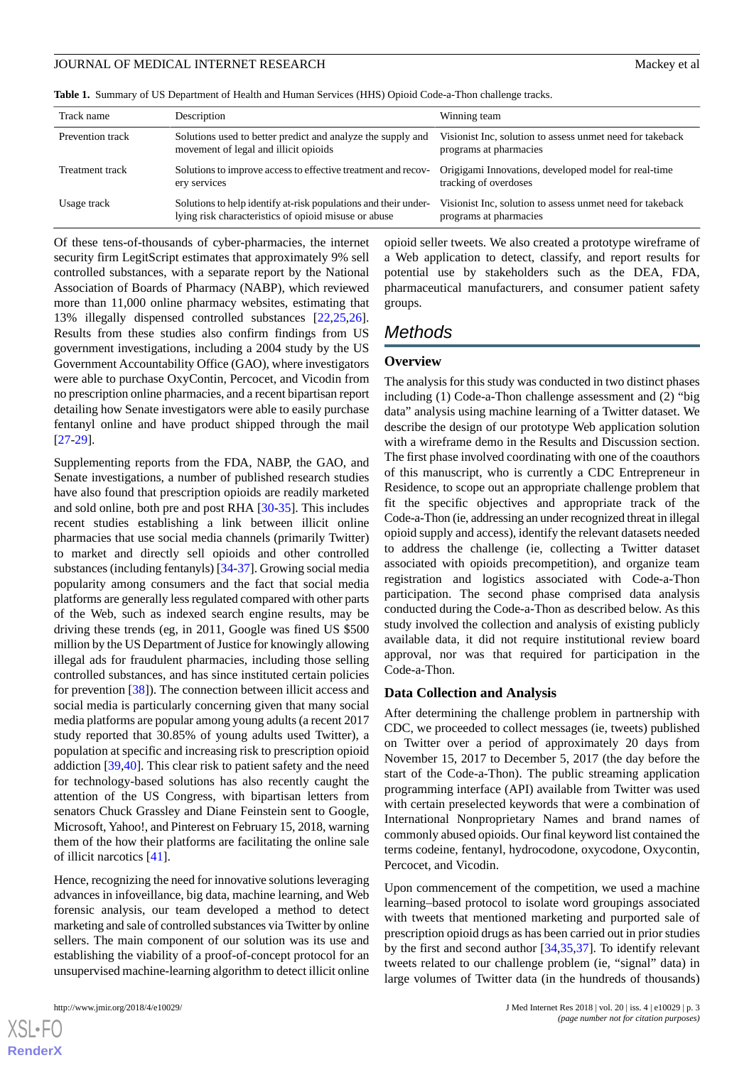<span id="page-2-0"></span>**Table 1.** Summary of US Department of Health and Human Services (HHS) Opioid Code-a-Thon challenge tracks.

| Track name       | Description                                                                                                             | Winning team                                                                        |
|------------------|-------------------------------------------------------------------------------------------------------------------------|-------------------------------------------------------------------------------------|
| Prevention track | Solutions used to better predict and analyze the supply and<br>movement of legal and illicit opioids                    | Visionist Inc, solution to assess unmet need for takeback<br>programs at pharmacies |
| Treatment track  | Solutions to improve access to effective treatment and recov-<br>ery services                                           | Origigami Innovations, developed model for real-time<br>tracking of overdoses       |
| Usage track      | Solutions to help identify at-risk populations and their under-<br>lying risk characteristics of opioid misuse or abuse | Visionist Inc, solution to assess unmet need for takeback<br>programs at pharmacies |

Of these tens-of-thousands of cyber-pharmacies, the internet security firm LegitScript estimates that approximately 9% sell controlled substances, with a separate report by the National Association of Boards of Pharmacy (NABP), which reviewed more than 11,000 online pharmacy websites, estimating that 13% illegally dispensed controlled substances [[22](#page-9-16)[,25](#page-10-1),[26\]](#page-10-2). Results from these studies also confirm findings from US government investigations, including a 2004 study by the US Government Accountability Office (GAO), where investigators were able to purchase OxyContin, Percocet, and Vicodin from no prescription online pharmacies, and a recent bipartisan report detailing how Senate investigators were able to easily purchase fentanyl online and have product shipped through the mail [[27](#page-10-3)[-29](#page-10-4)].

Supplementing reports from the FDA, NABP, the GAO, and Senate investigations, a number of published research studies have also found that prescription opioids are readily marketed and sold online, both pre and post RHA [\[30](#page-10-5)-[35\]](#page-10-6). This includes recent studies establishing a link between illicit online pharmacies that use social media channels (primarily Twitter) to market and directly sell opioids and other controlled substances (including fentanyls) [\[34](#page-10-7)-[37\]](#page-10-8). Growing social media popularity among consumers and the fact that social media platforms are generally less regulated compared with other parts of the Web, such as indexed search engine results, may be driving these trends (eg, in 2011, Google was fined US \$500 million by the US Department of Justice for knowingly allowing illegal ads for fraudulent pharmacies, including those selling controlled substances, and has since instituted certain policies for prevention [[38\]](#page-10-9)). The connection between illicit access and social media is particularly concerning given that many social media platforms are popular among young adults (a recent 2017 study reported that 30.85% of young adults used Twitter), a population at specific and increasing risk to prescription opioid addiction [\[39](#page-10-10),[40\]](#page-10-11). This clear risk to patient safety and the need for technology-based solutions has also recently caught the attention of the US Congress, with bipartisan letters from senators Chuck Grassley and Diane Feinstein sent to Google, Microsoft, Yahoo!, and Pinterest on February 15, 2018, warning them of the how their platforms are facilitating the online sale of illicit narcotics [[41\]](#page-10-12).

Hence, recognizing the need for innovative solutions leveraging advances in infoveillance, big data, machine learning, and Web forensic analysis, our team developed a method to detect marketing and sale of controlled substances via Twitter by online sellers. The main component of our solution was its use and establishing the viability of a proof-of-concept protocol for an unsupervised machine-learning algorithm to detect illicit online

[XSL](http://www.w3.org/Style/XSL)•FO **[RenderX](http://www.renderx.com/)**

opioid seller tweets. We also created a prototype wireframe of a Web application to detect, classify, and report results for potential use by stakeholders such as the DEA, FDA, pharmaceutical manufacturers, and consumer patient safety groups.

# *Methods*

#### **Overview**

The analysis for this study was conducted in two distinct phases including (1) Code-a-Thon challenge assessment and (2) "big data" analysis using machine learning of a Twitter dataset. We describe the design of our prototype Web application solution with a wireframe demo in the Results and Discussion section. The first phase involved coordinating with one of the coauthors of this manuscript, who is currently a CDC Entrepreneur in Residence, to scope out an appropriate challenge problem that fit the specific objectives and appropriate track of the Code-a-Thon (ie, addressing an under recognized threat in illegal opioid supply and access), identify the relevant datasets needed to address the challenge (ie, collecting a Twitter dataset associated with opioids precompetition), and organize team registration and logistics associated with Code-a-Thon participation. The second phase comprised data analysis conducted during the Code-a-Thon as described below. As this study involved the collection and analysis of existing publicly available data, it did not require institutional review board approval, nor was that required for participation in the Code-a-Thon.

#### **Data Collection and Analysis**

After determining the challenge problem in partnership with CDC, we proceeded to collect messages (ie, tweets) published on Twitter over a period of approximately 20 days from November 15, 2017 to December 5, 2017 (the day before the start of the Code-a-Thon). The public streaming application programming interface (API) available from Twitter was used with certain preselected keywords that were a combination of International Nonproprietary Names and brand names of commonly abused opioids. Our final keyword list contained the terms codeine, fentanyl, hydrocodone, oxycodone, Oxycontin, Percocet, and Vicodin.

Upon commencement of the competition, we used a machine learning–based protocol to isolate word groupings associated with tweets that mentioned marketing and purported sale of prescription opioid drugs as has been carried out in prior studies by the first and second author [\[34](#page-10-7),[35,](#page-10-6)[37](#page-10-8)]. To identify relevant tweets related to our challenge problem (ie, "signal" data) in large volumes of Twitter data (in the hundreds of thousands)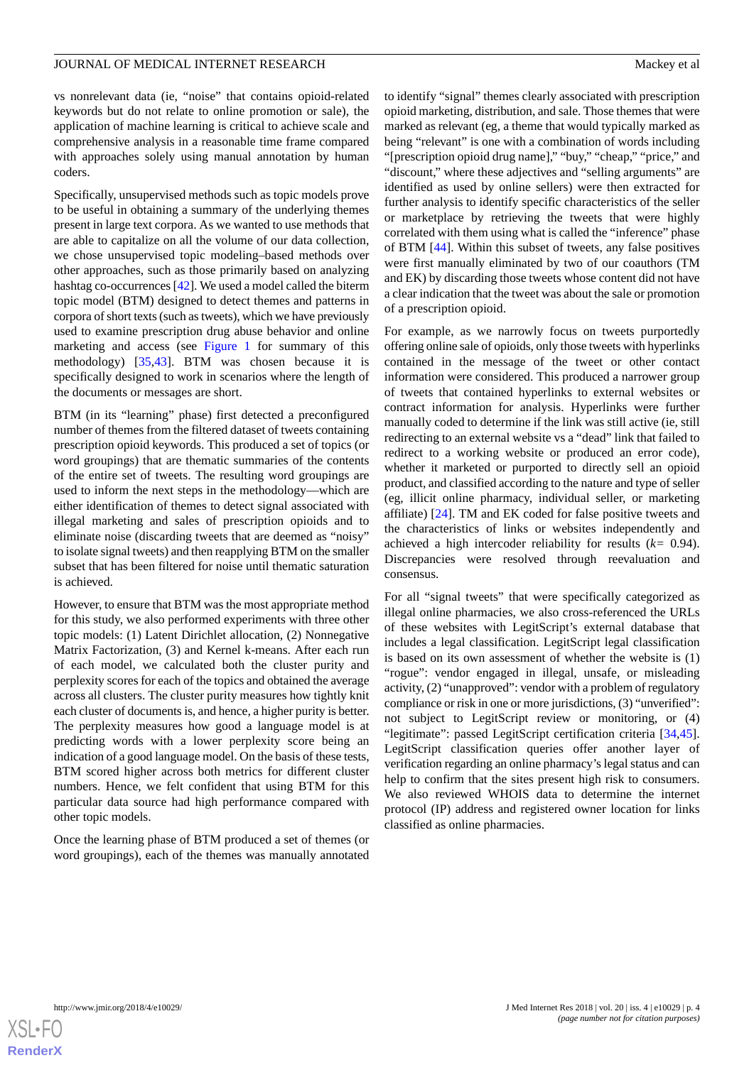vs nonrelevant data (ie, "noise" that contains opioid-related keywords but do not relate to online promotion or sale), the application of machine learning is critical to achieve scale and comprehensive analysis in a reasonable time frame compared with approaches solely using manual annotation by human coders.

Specifically, unsupervised methods such as topic models prove to be useful in obtaining a summary of the underlying themes present in large text corpora. As we wanted to use methods that are able to capitalize on all the volume of our data collection, we chose unsupervised topic modeling–based methods over other approaches, such as those primarily based on analyzing hashtag co-occurrences [\[42](#page-10-13)]. We used a model called the biterm topic model (BTM) designed to detect themes and patterns in corpora of short texts (such as tweets), which we have previously used to examine prescription drug abuse behavior and online marketing and access (see [Figure 1](#page-4-0) for summary of this methodology) [[35,](#page-10-6)[43\]](#page-10-14). BTM was chosen because it is specifically designed to work in scenarios where the length of the documents or messages are short.

BTM (in its "learning" phase) first detected a preconfigured number of themes from the filtered dataset of tweets containing prescription opioid keywords. This produced a set of topics (or word groupings) that are thematic summaries of the contents of the entire set of tweets. The resulting word groupings are used to inform the next steps in the methodology—which are either identification of themes to detect signal associated with illegal marketing and sales of prescription opioids and to eliminate noise (discarding tweets that are deemed as "noisy" to isolate signal tweets) and then reapplying BTM on the smaller subset that has been filtered for noise until thematic saturation is achieved.

However, to ensure that BTM was the most appropriate method for this study, we also performed experiments with three other topic models: (1) Latent Dirichlet allocation, (2) Nonnegative Matrix Factorization, (3) and Kernel k-means. After each run of each model, we calculated both the cluster purity and perplexity scores for each of the topics and obtained the average across all clusters. The cluster purity measures how tightly knit each cluster of documents is, and hence, a higher purity is better. The perplexity measures how good a language model is at predicting words with a lower perplexity score being an indication of a good language model. On the basis of these tests, BTM scored higher across both metrics for different cluster numbers. Hence, we felt confident that using BTM for this particular data source had high performance compared with other topic models.

Once the learning phase of BTM produced a set of themes (or word groupings), each of the themes was manually annotated

to identify "signal" themes clearly associated with prescription opioid marketing, distribution, and sale. Those themes that were marked as relevant (eg, a theme that would typically marked as being "relevant" is one with a combination of words including "[prescription opioid drug name]," "buy," "cheap," "price," and "discount," where these adjectives and "selling arguments" are identified as used by online sellers) were then extracted for further analysis to identify specific characteristics of the seller or marketplace by retrieving the tweets that were highly correlated with them using what is called the "inference" phase of BTM [[44\]](#page-10-15). Within this subset of tweets, any false positives were first manually eliminated by two of our coauthors (TM and EK) by discarding those tweets whose content did not have a clear indication that the tweet was about the sale or promotion of a prescription opioid.

For example, as we narrowly focus on tweets purportedly offering online sale of opioids, only those tweets with hyperlinks contained in the message of the tweet or other contact information were considered. This produced a narrower group of tweets that contained hyperlinks to external websites or contract information for analysis. Hyperlinks were further manually coded to determine if the link was still active (ie, still redirecting to an external website vs a "dead" link that failed to redirect to a working website or produced an error code), whether it marketed or purported to directly sell an opioid product, and classified according to the nature and type of seller (eg, illicit online pharmacy, individual seller, or marketing affiliate) [[24\]](#page-10-0). TM and EK coded for false positive tweets and the characteristics of links or websites independently and achieved a high intercoder reliability for results (*k=* 0.94). Discrepancies were resolved through reevaluation and consensus.

For all "signal tweets" that were specifically categorized as illegal online pharmacies, we also cross-referenced the URLs of these websites with LegitScript's external database that includes a legal classification. LegitScript legal classification is based on its own assessment of whether the website is (1) "rogue": vendor engaged in illegal, unsafe, or misleading activity, (2) "unapproved": vendor with a problem of regulatory compliance or risk in one or more jurisdictions, (3) "unverified": not subject to LegitScript review or monitoring, or (4) "legitimate": passed LegitScript certification criteria [\[34](#page-10-7),[45\]](#page-10-16). LegitScript classification queries offer another layer of verification regarding an online pharmacy's legal status and can help to confirm that the sites present high risk to consumers. We also reviewed WHOIS data to determine the internet protocol (IP) address and registered owner location for links classified as online pharmacies.

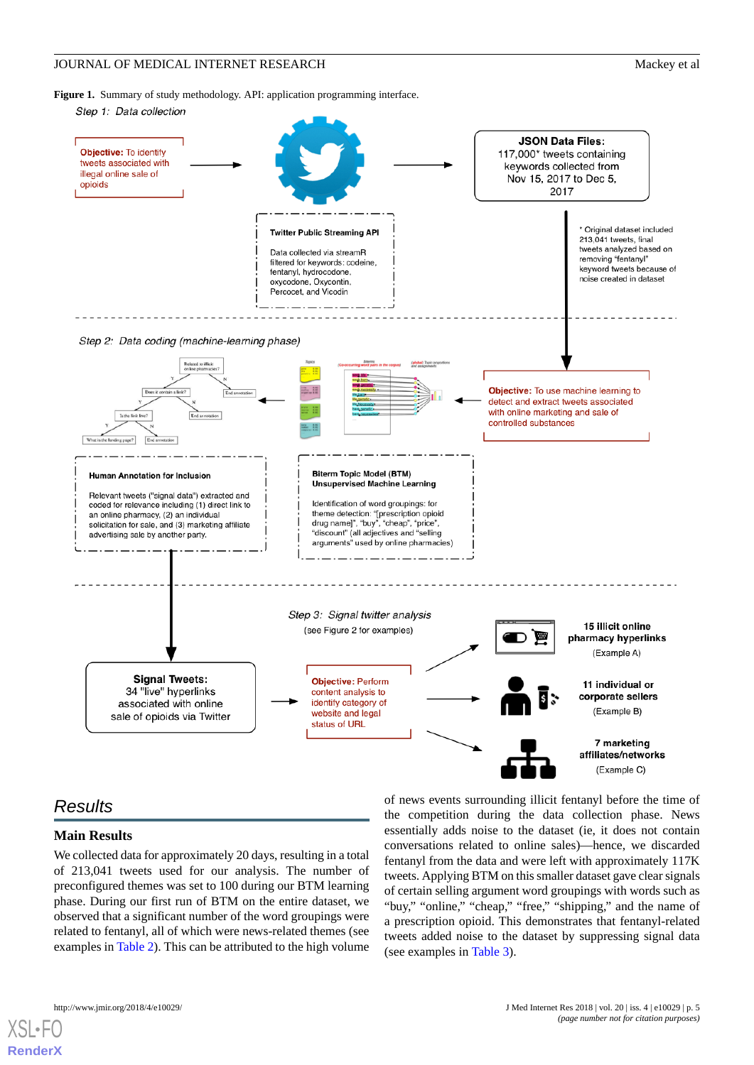<span id="page-4-0"></span>**Figure 1.** Summary of study methodology. API: application programming interface.



# *Results*

#### **Main Results**

We collected data for approximately 20 days, resulting in a total of 213,041 tweets used for our analysis. The number of preconfigured themes was set to 100 during our BTM learning phase. During our first run of BTM on the entire dataset, we observed that a significant number of the word groupings were related to fentanyl, all of which were news-related themes (see examples in [Table 2\)](#page-5-0). This can be attributed to the high volume

of news events surrounding illicit fentanyl before the time of the competition during the data collection phase. News essentially adds noise to the dataset (ie, it does not contain conversations related to online sales)—hence, we discarded fentanyl from the data and were left with approximately 117K tweets. Applying BTM on this smaller dataset gave clear signals of certain selling argument word groupings with words such as "buy," "online," "cheap," "free," "shipping," and the name of a prescription opioid. This demonstrates that fentanyl-related tweets added noise to the dataset by suppressing signal data (see examples in [Table 3](#page-5-1)).



**[RenderX](http://www.renderx.com/)**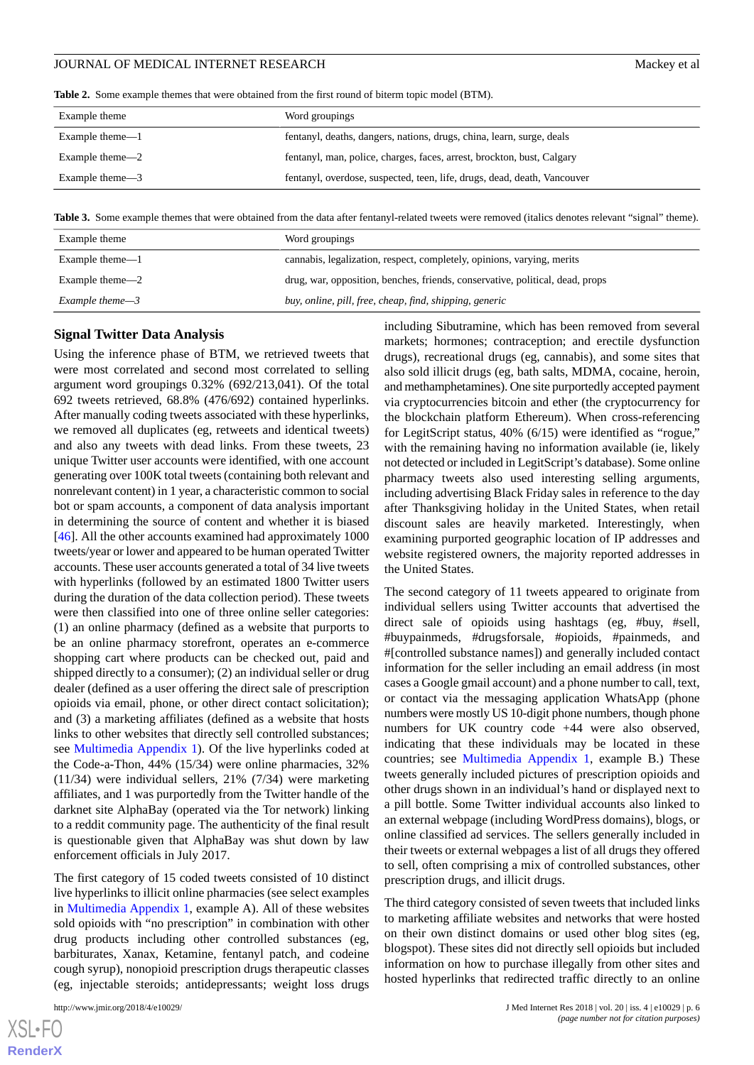<span id="page-5-0"></span>**Table 2.** Some example themes that were obtained from the first round of biterm topic model (BTM).

| Example theme      | Word groupings                                                           |
|--------------------|--------------------------------------------------------------------------|
| Example theme $-1$ | fentanyl, deaths, dangers, nations, drugs, china, learn, surge, deals    |
| Example theme—2    | fentanyl, man, police, charges, faces, arrest, brockton, bust, Calgary   |
| Example theme—3    | fentanyl, overdose, suspected, teen, life, drugs, dead, death, Vancouver |

<span id="page-5-1"></span>**Table 3.** Some example themes that were obtained from the data after fentanyl-related tweets were removed (italics denotes relevant "signal" theme).

| Example theme      | Word groupings                                                                |
|--------------------|-------------------------------------------------------------------------------|
| Example theme $-1$ | cannabis, legalization, respect, completely, opinions, varying, merits        |
| Example theme—2    | drug, war, opposition, benches, friends, conservative, political, dead, props |
| Example theme $-3$ | buy, online, pill, free, cheap, find, shipping, generic                       |

#### **Signal Twitter Data Analysis**

Using the inference phase of BTM, we retrieved tweets that were most correlated and second most correlated to selling argument word groupings 0.32% (692/213,041). Of the total 692 tweets retrieved, 68.8% (476/692) contained hyperlinks. After manually coding tweets associated with these hyperlinks, we removed all duplicates (eg, retweets and identical tweets) and also any tweets with dead links. From these tweets, 23 unique Twitter user accounts were identified, with one account generating over 100K total tweets (containing both relevant and nonrelevant content) in 1 year, a characteristic common to social bot or spam accounts, a component of data analysis important in determining the source of content and whether it is biased [[46\]](#page-11-0). All the other accounts examined had approximately 1000 tweets/year or lower and appeared to be human operated Twitter accounts. These user accounts generated a total of 34 live tweets with hyperlinks (followed by an estimated 1800 Twitter users during the duration of the data collection period). These tweets were then classified into one of three online seller categories: (1) an online pharmacy (defined as a website that purports to be an online pharmacy storefront, operates an e-commerce shopping cart where products can be checked out, paid and shipped directly to a consumer); (2) an individual seller or drug dealer (defined as a user offering the direct sale of prescription opioids via email, phone, or other direct contact solicitation); and (3) a marketing affiliates (defined as a website that hosts links to other websites that directly sell controlled substances; see [Multimedia Appendix 1\)](#page-9-17). Of the live hyperlinks coded at the Code-a-Thon, 44% (15/34) were online pharmacies, 32% (11/34) were individual sellers, 21% (7/34) were marketing affiliates, and 1 was purportedly from the Twitter handle of the darknet site AlphaBay (operated via the Tor network) linking to a reddit community page. The authenticity of the final result is questionable given that AlphaBay was shut down by law enforcement officials in July 2017.

The first category of 15 coded tweets consisted of 10 distinct live hyperlinks to illicit online pharmacies (see select examples in [Multimedia Appendix 1,](#page-9-17) example A). All of these websites sold opioids with "no prescription" in combination with other drug products including other controlled substances (eg, barbiturates, Xanax, Ketamine, fentanyl patch, and codeine cough syrup), nonopioid prescription drugs therapeutic classes (eg, injectable steroids; antidepressants; weight loss drugs

 $XS$ -FO **[RenderX](http://www.renderx.com/)** including Sibutramine, which has been removed from several markets; hormones; contraception; and erectile dysfunction drugs), recreational drugs (eg, cannabis), and some sites that also sold illicit drugs (eg, bath salts, MDMA, cocaine, heroin, and methamphetamines). One site purportedly accepted payment via cryptocurrencies bitcoin and ether (the cryptocurrency for the blockchain platform Ethereum). When cross-referencing for LegitScript status, 40% (6/15) were identified as "rogue," with the remaining having no information available (ie, likely not detected or included in LegitScript's database). Some online pharmacy tweets also used interesting selling arguments, including advertising Black Friday sales in reference to the day after Thanksgiving holiday in the United States, when retail discount sales are heavily marketed. Interestingly, when examining purported geographic location of IP addresses and website registered owners, the majority reported addresses in the United States.

The second category of 11 tweets appeared to originate from individual sellers using Twitter accounts that advertised the direct sale of opioids using hashtags (eg, #buy, #sell, #buypainmeds, #drugsforsale, #opioids, #painmeds, and #[controlled substance names]) and generally included contact information for the seller including an email address (in most cases a Google gmail account) and a phone number to call, text, or contact via the messaging application WhatsApp (phone numbers were mostly US 10-digit phone numbers, though phone numbers for UK country code +44 were also observed, indicating that these individuals may be located in these countries; see [Multimedia Appendix 1,](#page-9-17) example B.) These tweets generally included pictures of prescription opioids and other drugs shown in an individual's hand or displayed next to a pill bottle. Some Twitter individual accounts also linked to an external webpage (including WordPress domains), blogs, or online classified ad services. The sellers generally included in their tweets or external webpages a list of all drugs they offered to sell, often comprising a mix of controlled substances, other prescription drugs, and illicit drugs.

The third category consisted of seven tweets that included links to marketing affiliate websites and networks that were hosted on their own distinct domains or used other blog sites (eg, blogspot). These sites did not directly sell opioids but included information on how to purchase illegally from other sites and hosted hyperlinks that redirected traffic directly to an online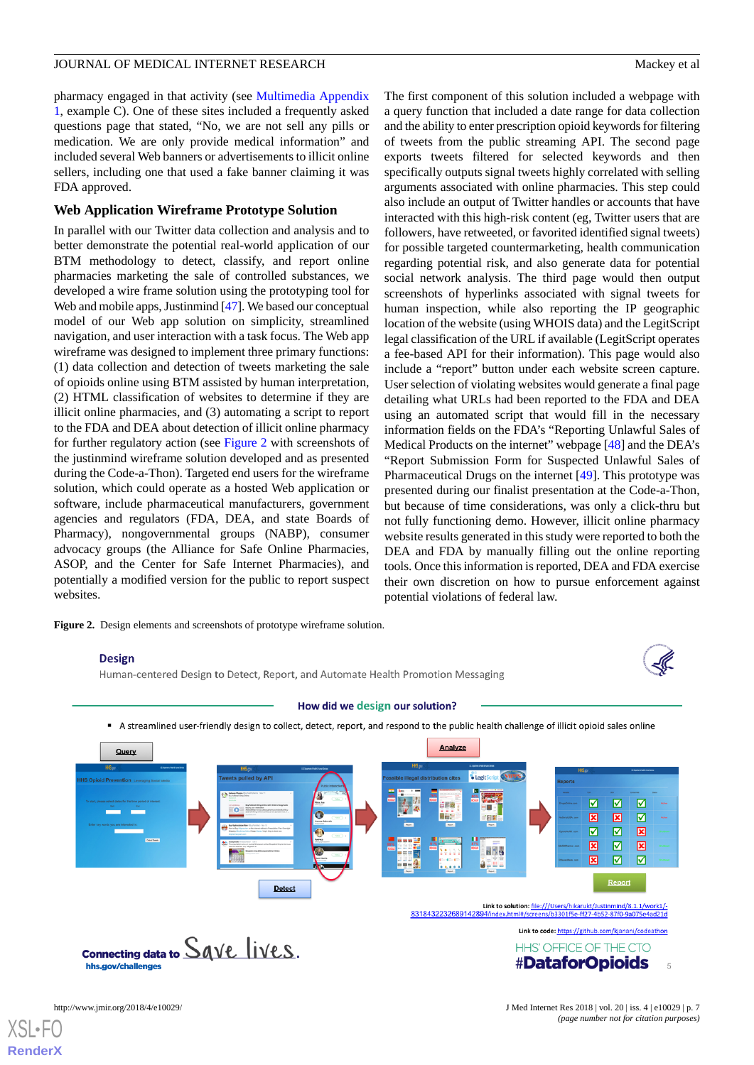pharmacy engaged in that activity (see [Multimedia Appendix](#page-9-17) [1,](#page-9-17) example C). One of these sites included a frequently asked questions page that stated, "No, we are not sell any pills or medication. We are only provide medical information" and included several Web banners or advertisements to illicit online sellers, including one that used a fake banner claiming it was FDA approved.

#### **Web Application Wireframe Prototype Solution**

In parallel with our Twitter data collection and analysis and to better demonstrate the potential real-world application of our BTM methodology to detect, classify, and report online pharmacies marketing the sale of controlled substances, we developed a wire frame solution using the prototyping tool for Web and mobile apps, Justinmind [[47\]](#page-11-1). We based our conceptual model of our Web app solution on simplicity, streamlined navigation, and user interaction with a task focus. The Web app wireframe was designed to implement three primary functions: (1) data collection and detection of tweets marketing the sale of opioids online using BTM assisted by human interpretation, (2) HTML classification of websites to determine if they are illicit online pharmacies, and (3) automating a script to report to the FDA and DEA about detection of illicit online pharmacy for further regulatory action (see [Figure 2](#page-6-0) with screenshots of the justinmind wireframe solution developed and as presented during the Code-a-Thon). Targeted end users for the wireframe solution, which could operate as a hosted Web application or software, include pharmaceutical manufacturers, government agencies and regulators (FDA, DEA, and state Boards of Pharmacy), nongovernmental groups (NABP), consumer advocacy groups (the Alliance for Safe Online Pharmacies, ASOP, and the Center for Safe Internet Pharmacies), and potentially a modified version for the public to report suspect websites.

<span id="page-6-0"></span>**Figure 2.** Design elements and screenshots of prototype wireframe solution.

## The first component of this solution included a webpage with a query function that included a date range for data collection and the ability to enter prescription opioid keywords for filtering of tweets from the public streaming API. The second page exports tweets filtered for selected keywords and then specifically outputs signal tweets highly correlated with selling arguments associated with online pharmacies. This step could also include an output of Twitter handles or accounts that have interacted with this high-risk content (eg, Twitter users that are followers, have retweeted, or favorited identified signal tweets) for possible targeted countermarketing, health communication regarding potential risk, and also generate data for potential social network analysis. The third page would then output screenshots of hyperlinks associated with signal tweets for human inspection, while also reporting the IP geographic location of the website (using WHOIS data) and the LegitScript legal classification of the URL if available (LegitScript operates a fee-based API for their information). This page would also include a "report" button under each website screen capture. User selection of violating websites would generate a final page detailing what URLs had been reported to the FDA and DEA using an automated script that would fill in the necessary information fields on the FDA's "Reporting Unlawful Sales of Medical Products on the internet" webpage [\[48](#page-11-2)] and the DEA's "Report Submission Form for Suspected Unlawful Sales of Pharmaceutical Drugs on the internet [\[49](#page-11-3)]. This prototype was presented during our finalist presentation at the Code-a-Thon, but because of time considerations, was only a click-thru but not fully functioning demo. However, illicit online pharmacy website results generated in this study were reported to both the DEA and FDA by manually filling out the online reporting tools. Once this information is reported, DEA and FDA exercise their own discretion on how to pursue enforcement against

potential violations of federal law.

#### **Design**

Human-centered Design to Detect, Report, and Automate Health Promotion Messaging



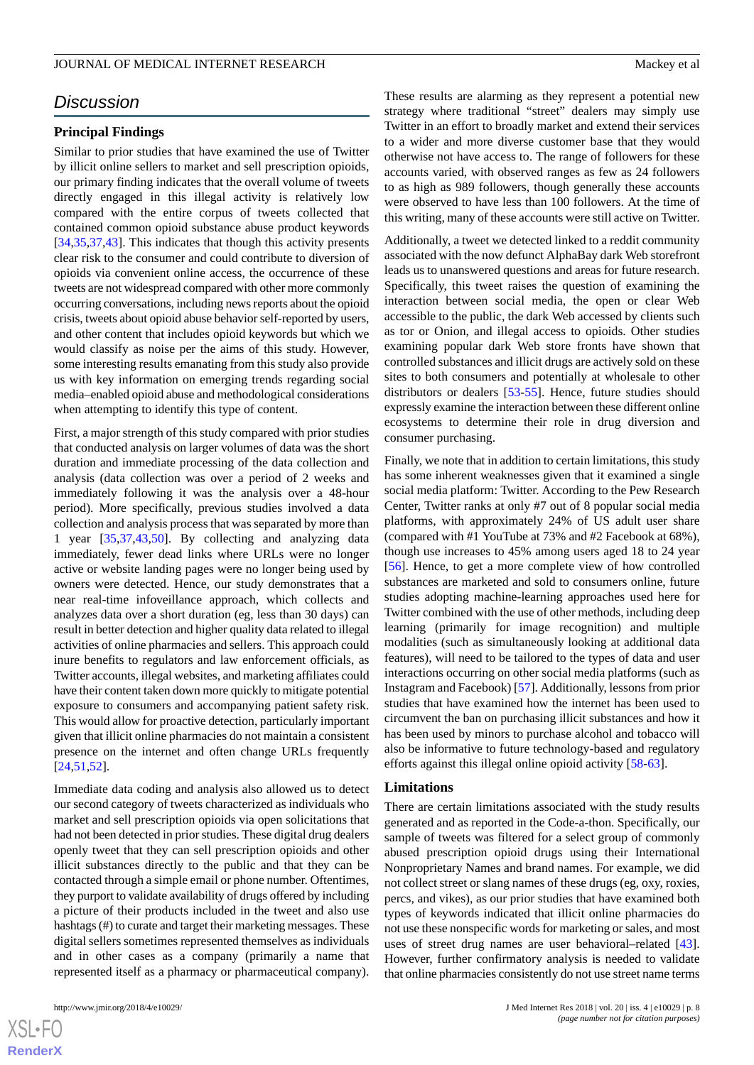# *Discussion*

#### **Principal Findings**

Similar to prior studies that have examined the use of Twitter by illicit online sellers to market and sell prescription opioids, our primary finding indicates that the overall volume of tweets directly engaged in this illegal activity is relatively low compared with the entire corpus of tweets collected that contained common opioid substance abuse product keywords [[34](#page-10-7)[,35](#page-10-6),[37](#page-10-8)[,43](#page-10-14)]. This indicates that though this activity presents clear risk to the consumer and could contribute to diversion of opioids via convenient online access, the occurrence of these tweets are not widespread compared with other more commonly occurring conversations, including news reports about the opioid crisis, tweets about opioid abuse behavior self-reported by users, and other content that includes opioid keywords but which we would classify as noise per the aims of this study. However, some interesting results emanating from this study also provide us with key information on emerging trends regarding social media–enabled opioid abuse and methodological considerations when attempting to identify this type of content.

First, a major strength of this study compared with prior studies that conducted analysis on larger volumes of data was the short duration and immediate processing of the data collection and analysis (data collection was over a period of 2 weeks and immediately following it was the analysis over a 48-hour period). More specifically, previous studies involved a data collection and analysis process that was separated by more than 1 year [\[35](#page-10-6),[37,](#page-10-8)[43](#page-10-14),[50\]](#page-11-4). By collecting and analyzing data immediately, fewer dead links where URLs were no longer active or website landing pages were no longer being used by owners were detected. Hence, our study demonstrates that a near real-time infoveillance approach, which collects and analyzes data over a short duration (eg, less than 30 days) can result in better detection and higher quality data related to illegal activities of online pharmacies and sellers. This approach could inure benefits to regulators and law enforcement officials, as Twitter accounts, illegal websites, and marketing affiliates could have their content taken down more quickly to mitigate potential exposure to consumers and accompanying patient safety risk. This would allow for proactive detection, particularly important given that illicit online pharmacies do not maintain a consistent presence on the internet and often change URLs frequently [[24](#page-10-0)[,51](#page-11-5),[52\]](#page-11-6).

Immediate data coding and analysis also allowed us to detect our second category of tweets characterized as individuals who market and sell prescription opioids via open solicitations that had not been detected in prior studies. These digital drug dealers openly tweet that they can sell prescription opioids and other illicit substances directly to the public and that they can be contacted through a simple email or phone number. Oftentimes, they purport to validate availability of drugs offered by including a picture of their products included in the tweet and also use hashtags (#) to curate and target their marketing messages. These digital sellers sometimes represented themselves as individuals and in other cases as a company (primarily a name that represented itself as a pharmacy or pharmaceutical company).

 $XS$ -FO **[RenderX](http://www.renderx.com/)** These results are alarming as they represent a potential new strategy where traditional "street" dealers may simply use Twitter in an effort to broadly market and extend their services to a wider and more diverse customer base that they would otherwise not have access to. The range of followers for these accounts varied, with observed ranges as few as 24 followers to as high as 989 followers, though generally these accounts were observed to have less than 100 followers. At the time of this writing, many of these accounts were still active on Twitter.

Additionally, a tweet we detected linked to a reddit community associated with the now defunct AlphaBay dark Web storefront leads us to unanswered questions and areas for future research. Specifically, this tweet raises the question of examining the interaction between social media, the open or clear Web accessible to the public, the dark Web accessed by clients such as tor or Onion, and illegal access to opioids. Other studies examining popular dark Web store fronts have shown that controlled substances and illicit drugs are actively sold on these sites to both consumers and potentially at wholesale to other distributors or dealers [\[53](#page-11-7)[-55](#page-11-8)]. Hence, future studies should expressly examine the interaction between these different online ecosystems to determine their role in drug diversion and consumer purchasing.

Finally, we note that in addition to certain limitations, this study has some inherent weaknesses given that it examined a single social media platform: Twitter. According to the Pew Research Center, Twitter ranks at only #7 out of 8 popular social media platforms, with approximately 24% of US adult user share (compared with #1 YouTube at 73% and #2 Facebook at 68%), though use increases to 45% among users aged 18 to 24 year [[56\]](#page-11-9). Hence, to get a more complete view of how controlled substances are marketed and sold to consumers online, future studies adopting machine-learning approaches used here for Twitter combined with the use of other methods, including deep learning (primarily for image recognition) and multiple modalities (such as simultaneously looking at additional data features), will need to be tailored to the types of data and user interactions occurring on other social media platforms (such as Instagram and Facebook) [\[57](#page-11-10)]. Additionally, lessons from prior studies that have examined how the internet has been used to circumvent the ban on purchasing illicit substances and how it has been used by minors to purchase alcohol and tobacco will also be informative to future technology-based and regulatory efforts against this illegal online opioid activity [\[58](#page-11-11)-[63\]](#page-11-12).

#### **Limitations**

There are certain limitations associated with the study results generated and as reported in the Code-a-thon. Specifically, our sample of tweets was filtered for a select group of commonly abused prescription opioid drugs using their International Nonproprietary Names and brand names. For example, we did not collect street or slang names of these drugs (eg, oxy, roxies, percs, and vikes), as our prior studies that have examined both types of keywords indicated that illicit online pharmacies do not use these nonspecific words for marketing or sales, and most uses of street drug names are user behavioral–related [[43\]](#page-10-14). However, further confirmatory analysis is needed to validate that online pharmacies consistently do not use street name terms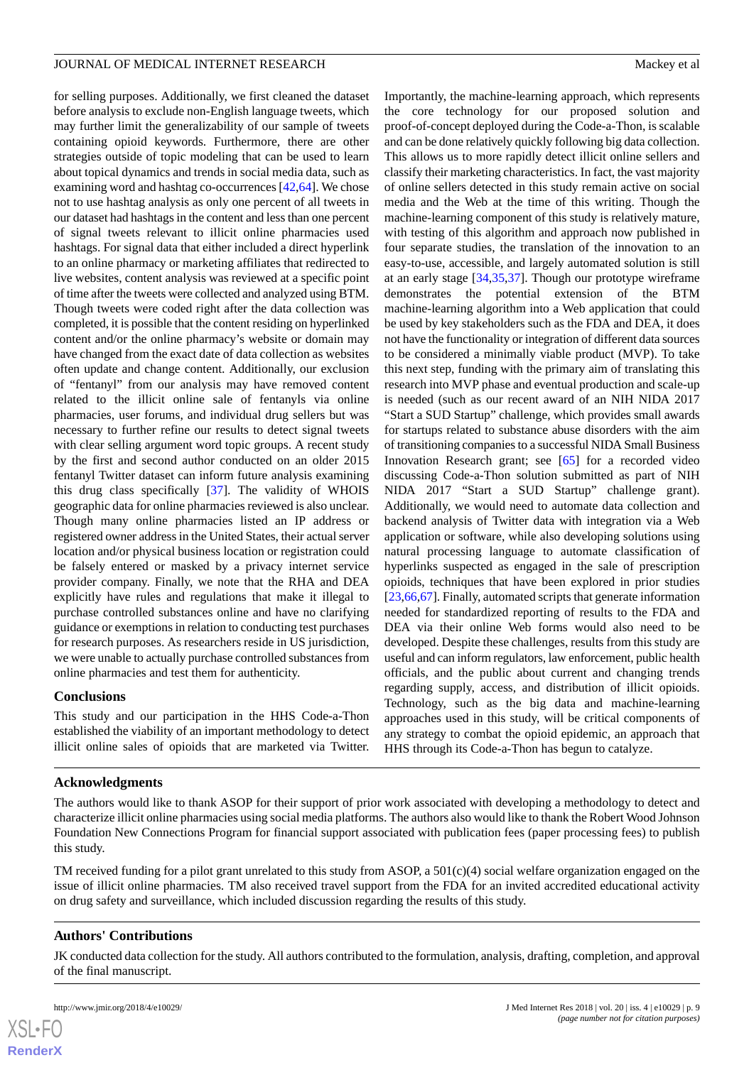for selling purposes. Additionally, we first cleaned the dataset before analysis to exclude non-English language tweets, which may further limit the generalizability of our sample of tweets containing opioid keywords. Furthermore, there are other strategies outside of topic modeling that can be used to learn about topical dynamics and trends in social media data, such as examining word and hashtag co-occurrences [[42,](#page-10-13)[64](#page-11-13)]. We chose not to use hashtag analysis as only one percent of all tweets in our dataset had hashtags in the content and less than one percent of signal tweets relevant to illicit online pharmacies used hashtags. For signal data that either included a direct hyperlink to an online pharmacy or marketing affiliates that redirected to live websites, content analysis was reviewed at a specific point of time after the tweets were collected and analyzed using BTM. Though tweets were coded right after the data collection was completed, it is possible that the content residing on hyperlinked content and/or the online pharmacy's website or domain may have changed from the exact date of data collection as websites often update and change content. Additionally, our exclusion of "fentanyl" from our analysis may have removed content related to the illicit online sale of fentanyls via online pharmacies, user forums, and individual drug sellers but was necessary to further refine our results to detect signal tweets with clear selling argument word topic groups. A recent study by the first and second author conducted on an older 2015 fentanyl Twitter dataset can inform future analysis examining this drug class specifically [\[37](#page-10-8)]. The validity of WHOIS geographic data for online pharmacies reviewed is also unclear. Though many online pharmacies listed an IP address or registered owner address in the United States, their actual server location and/or physical business location or registration could be falsely entered or masked by a privacy internet service provider company. Finally, we note that the RHA and DEA explicitly have rules and regulations that make it illegal to purchase controlled substances online and have no clarifying guidance or exemptions in relation to conducting test purchases for research purposes. As researchers reside in US jurisdiction, we were unable to actually purchase controlled substances from online pharmacies and test them for authenticity.

# **Conclusions**

This study and our participation in the HHS Code-a-Thon established the viability of an important methodology to detect illicit online sales of opioids that are marketed via Twitter.

Importantly, the machine-learning approach, which represents the core technology for our proposed solution and proof-of-concept deployed during the Code-a-Thon, is scalable and can be done relatively quickly following big data collection. This allows us to more rapidly detect illicit online sellers and classify their marketing characteristics. In fact, the vast majority of online sellers detected in this study remain active on social media and the Web at the time of this writing. Though the machine-learning component of this study is relatively mature, with testing of this algorithm and approach now published in four separate studies, the translation of the innovation to an easy-to-use, accessible, and largely automated solution is still at an early stage [\[34](#page-10-7),[35,](#page-10-6)[37](#page-10-8)]. Though our prototype wireframe demonstrates the potential extension of the BTM machine-learning algorithm into a Web application that could be used by key stakeholders such as the FDA and DEA, it does not have the functionality or integration of different data sources to be considered a minimally viable product (MVP). To take this next step, funding with the primary aim of translating this research into MVP phase and eventual production and scale-up is needed (such as our recent award of an NIH NIDA 2017 "Start a SUD Startup" challenge, which provides small awards for startups related to substance abuse disorders with the aim of transitioning companies to a successful NIDA Small Business Innovation Research grant; see [\[65](#page-11-14)] for a recorded video discussing Code-a-Thon solution submitted as part of NIH NIDA 2017 "Start a SUD Startup" challenge grant). Additionally, we would need to automate data collection and backend analysis of Twitter data with integration via a Web application or software, while also developing solutions using natural processing language to automate classification of hyperlinks suspected as engaged in the sale of prescription opioids, techniques that have been explored in prior studies [[23](#page-10-17)[,66](#page-11-15),[67\]](#page-11-16). Finally, automated scripts that generate information needed for standardized reporting of results to the FDA and DEA via their online Web forms would also need to be developed. Despite these challenges, results from this study are useful and can inform regulators, law enforcement, public health officials, and the public about current and changing trends regarding supply, access, and distribution of illicit opioids. Technology, such as the big data and machine-learning approaches used in this study, will be critical components of any strategy to combat the opioid epidemic, an approach that HHS through its Code-a-Thon has begun to catalyze.

# **Acknowledgments**

The authors would like to thank ASOP for their support of prior work associated with developing a methodology to detect and characterize illicit online pharmacies using social media platforms. The authors also would like to thank the Robert Wood Johnson Foundation New Connections Program for financial support associated with publication fees (paper processing fees) to publish this study.

TM received funding for a pilot grant unrelated to this study from ASOP, a  $501(c)(4)$  social welfare organization engaged on the issue of illicit online pharmacies. TM also received travel support from the FDA for an invited accredited educational activity on drug safety and surveillance, which included discussion regarding the results of this study.

# **Authors' Contributions**

JK conducted data collection for the study. All authors contributed to the formulation, analysis, drafting, completion, and approval of the final manuscript.

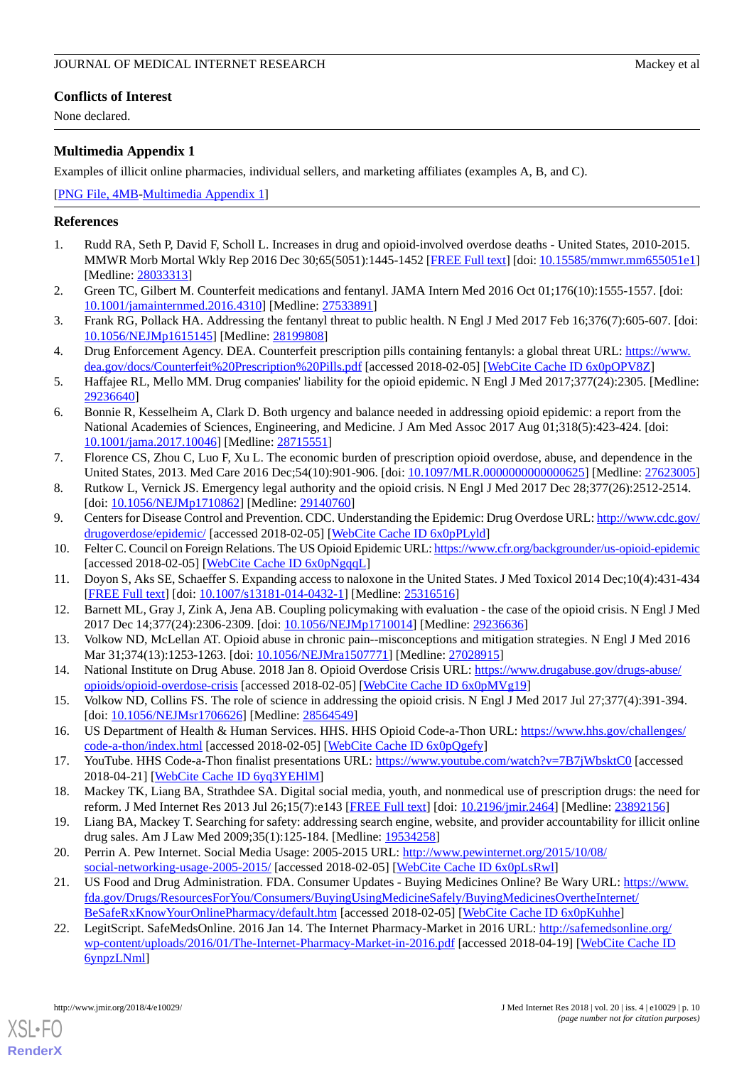None declared.

# <span id="page-9-17"></span>**Multimedia Appendix 1**

Examples of illicit online pharmacies, individual sellers, and marketing affiliates (examples A, B, and C).

#### [[PNG File, 4MB-Multimedia Appendix 1\]](https://jmir.org/api/download?alt_name=jmir_v20i4e10029_app1.png&filename=2b9d110a859e79e35eac42e761959987.png)

# <span id="page-9-0"></span>**References**

- <span id="page-9-1"></span>1. Rudd RA, Seth P, David F, Scholl L. Increases in drug and opioid-involved overdose deaths - United States, 2010-2015. MMWR Morb Mortal Wkly Rep 2016 Dec 30;65(5051):1445-1452 [\[FREE Full text\]](https://dx.doi.org/10.15585/mmwr.mm655051e1) [doi: [10.15585/mmwr.mm655051e1](http://dx.doi.org/10.15585/mmwr.mm655051e1)] [Medline: [28033313](http://www.ncbi.nlm.nih.gov/entrez/query.fcgi?cmd=Retrieve&db=PubMed&list_uids=28033313&dopt=Abstract)]
- 2. Green TC, Gilbert M. Counterfeit medications and fentanyl. JAMA Intern Med 2016 Oct 01;176(10):1555-1557. [doi: [10.1001/jamainternmed.2016.4310\]](http://dx.doi.org/10.1001/jamainternmed.2016.4310) [Medline: [27533891\]](http://www.ncbi.nlm.nih.gov/entrez/query.fcgi?cmd=Retrieve&db=PubMed&list_uids=27533891&dopt=Abstract)
- 3. Frank RG, Pollack HA. Addressing the fentanyl threat to public health. N Engl J Med 2017 Feb 16;376(7):605-607. [doi: [10.1056/NEJMp1615145\]](http://dx.doi.org/10.1056/NEJMp1615145) [Medline: [28199808\]](http://www.ncbi.nlm.nih.gov/entrez/query.fcgi?cmd=Retrieve&db=PubMed&list_uids=28199808&dopt=Abstract)
- <span id="page-9-2"></span>4. Drug Enforcement Agency. DEA. Counterfeit prescription pills containing fentanyls: a global threat URL: [https://www.](https://www.dea.gov/docs/Counterfeit%20Prescription%20Pills.pdf) [dea.gov/docs/Counterfeit%20Prescription%20Pills.pdf](https://www.dea.gov/docs/Counterfeit%20Prescription%20Pills.pdf) [accessed 2018-02-05] [[WebCite Cache ID 6x0pOPV8Z\]](http://www.webcitation.org/

                                            6x0pOPV8Z)
- <span id="page-9-3"></span>5. Haffajee RL, Mello MM. Drug companies' liability for the opioid epidemic. N Engl J Med 2017;377(24):2305. [Medline: [29236640](http://www.ncbi.nlm.nih.gov/entrez/query.fcgi?cmd=Retrieve&db=PubMed&list_uids=29236640&dopt=Abstract)]
- <span id="page-9-4"></span>6. Bonnie R, Kesselheim A, Clark D. Both urgency and balance needed in addressing opioid epidemic: a report from the National Academies of Sciences, Engineering, and Medicine. J Am Med Assoc 2017 Aug 01;318(5):423-424. [doi: [10.1001/jama.2017.10046](http://dx.doi.org/10.1001/jama.2017.10046)] [Medline: [28715551](http://www.ncbi.nlm.nih.gov/entrez/query.fcgi?cmd=Retrieve&db=PubMed&list_uids=28715551&dopt=Abstract)]
- <span id="page-9-6"></span><span id="page-9-5"></span>7. Florence CS, Zhou C, Luo F, Xu L. The economic burden of prescription opioid overdose, abuse, and dependence in the United States, 2013. Med Care 2016 Dec;54(10):901-906. [doi: [10.1097/MLR.0000000000000625\]](http://dx.doi.org/10.1097/MLR.0000000000000625) [Medline: [27623005](http://www.ncbi.nlm.nih.gov/entrez/query.fcgi?cmd=Retrieve&db=PubMed&list_uids=27623005&dopt=Abstract)]
- <span id="page-9-7"></span>8. Rutkow L, Vernick JS. Emergency legal authority and the opioid crisis. N Engl J Med 2017 Dec 28;377(26):2512-2514. [doi: [10.1056/NEJMp1710862](http://dx.doi.org/10.1056/NEJMp1710862)] [Medline: [29140760](http://www.ncbi.nlm.nih.gov/entrez/query.fcgi?cmd=Retrieve&db=PubMed&list_uids=29140760&dopt=Abstract)]
- 9. Centers for Disease Control and Prevention. CDC. Understanding the Epidemic: Drug Overdose URL: [http://www.cdc.gov/](http://www.cdc.gov/drugoverdose/epidemic/) [drugoverdose/epidemic/](http://www.cdc.gov/drugoverdose/epidemic/) [accessed 2018-02-05] [[WebCite Cache ID 6x0pPLyld\]](http://www.webcitation.org/

                                            6x0pPLyld)
- 10. Felter C. Council on Foreign Relations. The US Opioid Epidemic URL:<https://www.cfr.org/backgrounder/us-opioid-epidemic> [accessed 2018-02-05] [\[WebCite Cache ID 6x0pNgqqL](http://www.webcitation.org/

                                            6x0pNgqqL)]
- <span id="page-9-8"></span>11. Doyon S, Aks SE, Schaeffer S. Expanding access to naloxone in the United States. J Med Toxicol 2014 Dec;10(4):431-434 [[FREE Full text](http://europepmc.org/abstract/MED/25316516)] [doi: [10.1007/s13181-014-0432-1\]](http://dx.doi.org/10.1007/s13181-014-0432-1) [Medline: [25316516](http://www.ncbi.nlm.nih.gov/entrez/query.fcgi?cmd=Retrieve&db=PubMed&list_uids=25316516&dopt=Abstract)]
- 12. Barnett ML, Gray J, Zink A, Jena AB. Coupling policymaking with evaluation the case of the opioid crisis. N Engl J Med 2017 Dec 14;377(24):2306-2309. [doi: [10.1056/NEJMp1710014\]](http://dx.doi.org/10.1056/NEJMp1710014) [Medline: [29236636\]](http://www.ncbi.nlm.nih.gov/entrez/query.fcgi?cmd=Retrieve&db=PubMed&list_uids=29236636&dopt=Abstract)
- <span id="page-9-9"></span>13. Volkow ND, McLellan AT. Opioid abuse in chronic pain--misconceptions and mitigation strategies. N Engl J Med 2016 Mar 31;374(13):1253-1263. [doi: [10.1056/NEJMra1507771\]](http://dx.doi.org/10.1056/NEJMra1507771) [Medline: [27028915](http://www.ncbi.nlm.nih.gov/entrez/query.fcgi?cmd=Retrieve&db=PubMed&list_uids=27028915&dopt=Abstract)]
- <span id="page-9-11"></span><span id="page-9-10"></span>14. National Institute on Drug Abuse. 2018 Jan 8. Opioid Overdose Crisis URL: [https://www.drugabuse.gov/drugs-abuse/](https://www.drugabuse.gov/drugs-abuse/opioids/opioid-overdose-crisis) [opioids/opioid-overdose-crisis](https://www.drugabuse.gov/drugs-abuse/opioids/opioid-overdose-crisis) [accessed 2018-02-05] [\[WebCite Cache ID 6x0pMVg19\]](http://www.webcitation.org/

                                            6x0pMVg19)
- <span id="page-9-12"></span>15. Volkow ND, Collins FS. The role of science in addressing the opioid crisis. N Engl J Med 2017 Jul 27;377(4):391-394. [doi: [10.1056/NEJMsr1706626\]](http://dx.doi.org/10.1056/NEJMsr1706626) [Medline: [28564549](http://www.ncbi.nlm.nih.gov/entrez/query.fcgi?cmd=Retrieve&db=PubMed&list_uids=28564549&dopt=Abstract)]
- <span id="page-9-13"></span>16. US Department of Health & Human Services. HHS. HHS Opioid Code-a-Thon URL: [https://www.hhs.gov/challenges/](https://www.hhs.gov/challenges/code-a-thon/index.html) [code-a-thon/index.html](https://www.hhs.gov/challenges/code-a-thon/index.html) [accessed 2018-02-05] [\[WebCite Cache ID 6x0pQgefy\]](http://www.webcitation.org/

                                            6x0pQgefy)
- <span id="page-9-14"></span>17. YouTube. HHS Code-a-Thon finalist presentations URL: <https://www.youtube.com/watch?v=7B7jWbsktC0> [accessed 2018-04-21] [\[WebCite Cache ID 6yq3YEHlM](http://www.webcitation.org/

                                            6yq3YEHlM)]
- <span id="page-9-15"></span>18. Mackey TK, Liang BA, Strathdee SA. Digital social media, youth, and nonmedical use of prescription drugs: the need for reform. J Med Internet Res 2013 Jul 26;15(7):e143 [\[FREE Full text\]](http://www.jmir.org/2013/7/e143/) [doi: [10.2196/jmir.2464\]](http://dx.doi.org/10.2196/jmir.2464) [Medline: [23892156\]](http://www.ncbi.nlm.nih.gov/entrez/query.fcgi?cmd=Retrieve&db=PubMed&list_uids=23892156&dopt=Abstract)
- <span id="page-9-16"></span>19. Liang BA, Mackey T. Searching for safety: addressing search engine, website, and provider accountability for illicit online drug sales. Am J Law Med 2009;35(1):125-184. [Medline: [19534258](http://www.ncbi.nlm.nih.gov/entrez/query.fcgi?cmd=Retrieve&db=PubMed&list_uids=19534258&dopt=Abstract)]
- 20. Perrin A. Pew Internet. Social Media Usage: 2005-2015 URL: [http://www.pewinternet.org/2015/10/08/](http://www.pewinternet.org/2015/10/08/social-networking-usage-2005-2015/) [social-networking-usage-2005-2015/](http://www.pewinternet.org/2015/10/08/social-networking-usage-2005-2015/) [accessed 2018-02-05] [\[WebCite Cache ID 6x0pLsRwl\]](http://www.webcitation.org/

                                            6x0pLsRwl)
- 21. US Food and Drug Administration. FDA. Consumer Updates Buying Medicines Online? Be Wary URL: [https://www.](https://www.fda.gov/Drugs/ResourcesForYou/Consumers/BuyingUsingMedicineSafely/BuyingMedicinesOvertheInternet/BeSafeRxKnowYourOnlinePharmacy/default.htm) [fda.gov/Drugs/ResourcesForYou/Consumers/BuyingUsingMedicineSafely/BuyingMedicinesOvertheInternet/](https://www.fda.gov/Drugs/ResourcesForYou/Consumers/BuyingUsingMedicineSafely/BuyingMedicinesOvertheInternet/BeSafeRxKnowYourOnlinePharmacy/default.htm) [BeSafeRxKnowYourOnlinePharmacy/default.htm](https://www.fda.gov/Drugs/ResourcesForYou/Consumers/BuyingUsingMedicineSafely/BuyingMedicinesOvertheInternet/BeSafeRxKnowYourOnlinePharmacy/default.htm) [accessed 2018-02-05] [\[WebCite Cache ID 6x0pKuhhe\]](http://www.webcitation.org/

                                            6x0pKuhhe)
- 22. LegitScript. SafeMedsOnline. 2016 Jan 14. The Internet Pharmacy-Market in 2016 URL: [http://safemedsonline.org/](http://safemedsonline.org/wp-content/uploads/2016/01/The-Internet-Pharmacy-Market-in-2016.pdf) [wp-content/uploads/2016/01/The-Internet-Pharmacy-Market-in-2016.pdf](http://safemedsonline.org/wp-content/uploads/2016/01/The-Internet-Pharmacy-Market-in-2016.pdf) [accessed 2018-04-19] [\[WebCite Cache ID](http://www.webcitation.org/

                                            6ynpzLNml) [6ynpzLNml\]](http://www.webcitation.org/

                                            6ynpzLNml)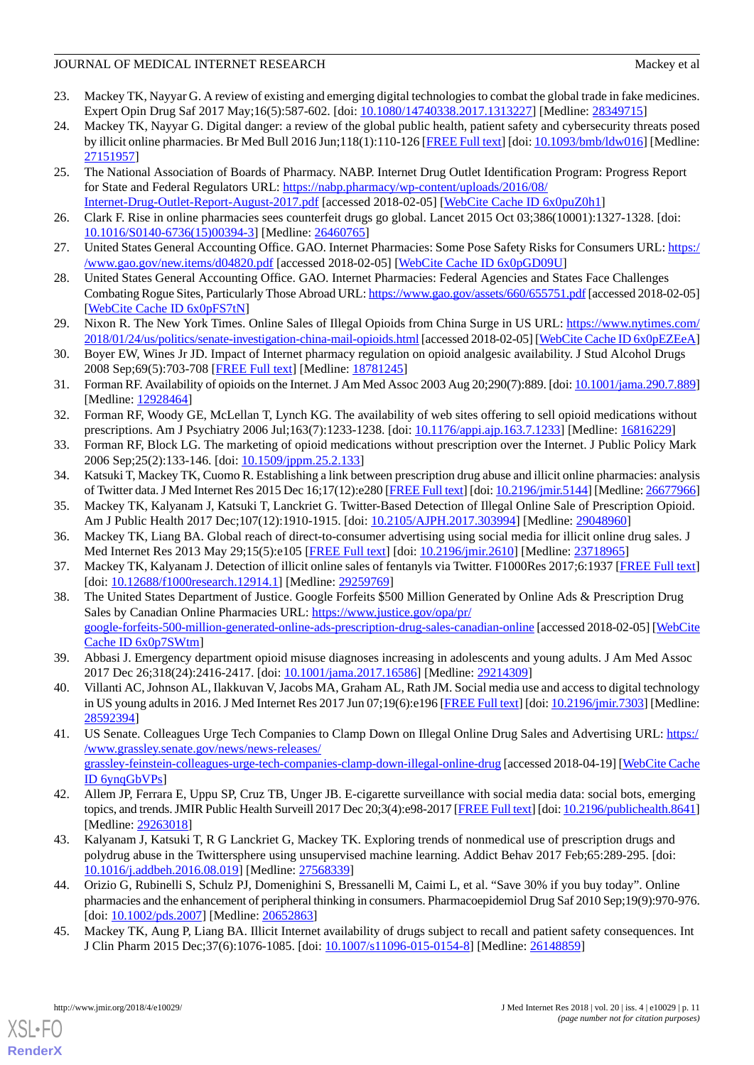# JOURNAL OF MEDICAL INTERNET RESEARCH MACKEY AND A SERIES AND MACKEY AT A MACKEY AT A MACKEY OF MEDICAL INTERNET RESEARCH

- <span id="page-10-17"></span>23. Mackey TK, Nayyar G. A review of existing and emerging digital technologies to combat the global trade in fake medicines. Expert Opin Drug Saf 2017 May;16(5):587-602. [doi: [10.1080/14740338.2017.1313227](http://dx.doi.org/10.1080/14740338.2017.1313227)] [Medline: [28349715\]](http://www.ncbi.nlm.nih.gov/entrez/query.fcgi?cmd=Retrieve&db=PubMed&list_uids=28349715&dopt=Abstract)
- <span id="page-10-0"></span>24. Mackey TK, Nayyar G. Digital danger: a review of the global public health, patient safety and cybersecurity threats posed by illicit online pharmacies. Br Med Bull 2016 Jun;118(1):110-126 [[FREE Full text](http://europepmc.org/abstract/MED/27151957)] [doi: [10.1093/bmb/ldw016](http://dx.doi.org/10.1093/bmb/ldw016)] [Medline: [27151957](http://www.ncbi.nlm.nih.gov/entrez/query.fcgi?cmd=Retrieve&db=PubMed&list_uids=27151957&dopt=Abstract)]
- <span id="page-10-1"></span>25. The National Association of Boards of Pharmacy. NABP. Internet Drug Outlet Identification Program: Progress Report for State and Federal Regulators URL: [https://nabp.pharmacy/wp-content/uploads/2016/08/](https://nabp.pharmacy/wp-content/uploads/2016/08/Internet-Drug-Outlet-Report-August-2017.pdf) [Internet-Drug-Outlet-Report-August-2017.pdf](https://nabp.pharmacy/wp-content/uploads/2016/08/Internet-Drug-Outlet-Report-August-2017.pdf) [accessed 2018-02-05] [[WebCite Cache ID 6x0puZ0h1\]](http://www.webcitation.org/

                                            6x0puZ0h1)
- <span id="page-10-3"></span><span id="page-10-2"></span>26. Clark F. Rise in online pharmacies sees counterfeit drugs go global. Lancet 2015 Oct 03;386(10001):1327-1328. [doi: [10.1016/S0140-6736\(15\)00394-3\]](http://dx.doi.org/10.1016/S0140-6736(15)00394-3) [Medline: [26460765](http://www.ncbi.nlm.nih.gov/entrez/query.fcgi?cmd=Retrieve&db=PubMed&list_uids=26460765&dopt=Abstract)]
- 27. United States General Accounting Office. GAO. Internet Pharmacies: Some Pose Safety Risks for Consumers URL: [https:/](https://www.gao.gov/new.items/d04820.pdf) [/www.gao.gov/new.items/d04820.pdf](https://www.gao.gov/new.items/d04820.pdf) [accessed 2018-02-05] [[WebCite Cache ID 6x0pGD09U](http://www.webcitation.org/

                                            6x0pGD09U)]
- <span id="page-10-4"></span>28. United States General Accounting Office. GAO. Internet Pharmacies: Federal Agencies and States Face Challenges Combating Rogue Sites, Particularly Those Abroad URL:<https://www.gao.gov/assets/660/655751.pdf> [accessed 2018-02-05] [[WebCite Cache ID 6x0pFS7tN\]](http://www.webcitation.org/

                                            6x0pFS7tN)
- <span id="page-10-5"></span>29. Nixon R. The New York Times. Online Sales of Illegal Opioids from China Surge in US URL: [https://www.nytimes.com/](https://www.nytimes.com/2018/01/24/us/politics/senate-investigation-china-mail-opioids.html) [2018/01/24/us/politics/senate-investigation-china-mail-opioids.html](https://www.nytimes.com/2018/01/24/us/politics/senate-investigation-china-mail-opioids.html) [accessed 2018-02-05] [\[WebCite Cache ID 6x0pEZEeA\]](http://www.webcitation.org/

                                            6x0pEZEeA)
- 30. Boyer EW, Wines Jr JD. Impact of Internet pharmacy regulation on opioid analgesic availability. J Stud Alcohol Drugs 2008 Sep;69(5):703-708 [\[FREE Full text\]](http://europepmc.org/abstract/MED/18781245) [Medline: [18781245\]](http://www.ncbi.nlm.nih.gov/entrez/query.fcgi?cmd=Retrieve&db=PubMed&list_uids=18781245&dopt=Abstract)
- 31. Forman RF. Availability of opioids on the Internet. J Am Med Assoc 2003 Aug 20;290(7):889. [doi: [10.1001/jama.290.7.889\]](http://dx.doi.org/10.1001/jama.290.7.889) [Medline: [12928464](http://www.ncbi.nlm.nih.gov/entrez/query.fcgi?cmd=Retrieve&db=PubMed&list_uids=12928464&dopt=Abstract)]
- <span id="page-10-7"></span>32. Forman RF, Woody GE, McLellan T, Lynch KG. The availability of web sites offering to sell opioid medications without prescriptions. Am J Psychiatry 2006 Jul;163(7):1233-1238. [doi: [10.1176/appi.ajp.163.7.1233\]](http://dx.doi.org/10.1176/appi.ajp.163.7.1233) [Medline: [16816229](http://www.ncbi.nlm.nih.gov/entrez/query.fcgi?cmd=Retrieve&db=PubMed&list_uids=16816229&dopt=Abstract)]
- <span id="page-10-6"></span>33. Forman RF, Block LG. The marketing of opioid medications without prescription over the Internet. J Public Policy Mark 2006 Sep;25(2):133-146. [doi: [10.1509/jppm.25.2.133](http://dx.doi.org/10.1509/jppm.25.2.133)]
- 34. Katsuki T, Mackey TK, Cuomo R. Establishing a link between prescription drug abuse and illicit online pharmacies: analysis of Twitter data. J Med Internet Res 2015 Dec 16;17(12):e280 [[FREE Full text\]](http://www.jmir.org/2015/12/e280/) [doi: [10.2196/jmir.5144](http://dx.doi.org/10.2196/jmir.5144)] [Medline: [26677966\]](http://www.ncbi.nlm.nih.gov/entrez/query.fcgi?cmd=Retrieve&db=PubMed&list_uids=26677966&dopt=Abstract)
- <span id="page-10-8"></span>35. Mackey TK, Kalyanam J, Katsuki T, Lanckriet G. Twitter-Based Detection of Illegal Online Sale of Prescription Opioid. Am J Public Health 2017 Dec;107(12):1910-1915. [doi: [10.2105/AJPH.2017.303994](http://dx.doi.org/10.2105/AJPH.2017.303994)] [Medline: [29048960](http://www.ncbi.nlm.nih.gov/entrez/query.fcgi?cmd=Retrieve&db=PubMed&list_uids=29048960&dopt=Abstract)]
- <span id="page-10-9"></span>36. Mackey TK, Liang BA. Global reach of direct-to-consumer advertising using social media for illicit online drug sales. J Med Internet Res 2013 May 29;15(5):e105 [\[FREE Full text\]](http://www.jmir.org/2013/5/e105/) [doi: [10.2196/jmir.2610\]](http://dx.doi.org/10.2196/jmir.2610) [Medline: [23718965\]](http://www.ncbi.nlm.nih.gov/entrez/query.fcgi?cmd=Retrieve&db=PubMed&list_uids=23718965&dopt=Abstract)
- 37. Mackey TK, Kalyanam J. Detection of illicit online sales of fentanyls via Twitter. F1000Res 2017;6:1937 [[FREE Full text](https://f1000research.com/articles/10.12688/f1000research.12914.1/doi)] [doi: [10.12688/f1000research.12914.1\]](http://dx.doi.org/10.12688/f1000research.12914.1) [Medline: [29259769\]](http://www.ncbi.nlm.nih.gov/entrez/query.fcgi?cmd=Retrieve&db=PubMed&list_uids=29259769&dopt=Abstract)
- <span id="page-10-11"></span><span id="page-10-10"></span>38. The United States Department of Justice. Google Forfeits \$500 Million Generated by Online Ads & Prescription Drug Sales by Canadian Online Pharmacies URL: [https://www.justice.gov/opa/pr/](https://www.justice.gov/opa/pr/google-forfeits-500-million-generated-online-ads-prescription-drug-sales-canadian-online) [google-forfeits-500-million-generated-online-ads-prescription-drug-sales-canadian-online](https://www.justice.gov/opa/pr/google-forfeits-500-million-generated-online-ads-prescription-drug-sales-canadian-online) [accessed 2018-02-05] [\[WebCite](http://www.webcitation.org/

                                            6x0p7SWtm) [Cache ID 6x0p7SWtm\]](http://www.webcitation.org/

                                            6x0p7SWtm)
- <span id="page-10-12"></span>39. Abbasi J. Emergency department opioid misuse diagnoses increasing in adolescents and young adults. J Am Med Assoc 2017 Dec 26;318(24):2416-2417. [doi: [10.1001/jama.2017.16586](http://dx.doi.org/10.1001/jama.2017.16586)] [Medline: [29214309](http://www.ncbi.nlm.nih.gov/entrez/query.fcgi?cmd=Retrieve&db=PubMed&list_uids=29214309&dopt=Abstract)]
- 40. Villanti AC, Johnson AL, Ilakkuvan V, Jacobs MA, Graham AL, Rath JM. Social media use and access to digital technology in US young adults in 2016. J Med Internet Res 2017 Jun 07;19(6):e196 [[FREE Full text\]](http://www.jmir.org/2017/6/e196/) [doi: [10.2196/jmir.7303](http://dx.doi.org/10.2196/jmir.7303)] [Medline: [28592394](http://www.ncbi.nlm.nih.gov/entrez/query.fcgi?cmd=Retrieve&db=PubMed&list_uids=28592394&dopt=Abstract)]
- <span id="page-10-14"></span><span id="page-10-13"></span>41. US Senate. Colleagues Urge Tech Companies to Clamp Down on Illegal Online Drug Sales and Advertising URL: [https:/](https://www.grassley.senate.gov/news/news-releases/grassley-feinstein-colleagues-urge-tech-companies-clamp-down-illegal-online-drug) [/www.grassley.senate.gov/news/news-releases/](https://www.grassley.senate.gov/news/news-releases/grassley-feinstein-colleagues-urge-tech-companies-clamp-down-illegal-online-drug) [grassley-feinstein-colleagues-urge-tech-companies-clamp-down-illegal-online-drug](https://www.grassley.senate.gov/news/news-releases/grassley-feinstein-colleagues-urge-tech-companies-clamp-down-illegal-online-drug) [accessed 2018-04-19] [[WebCite Cache](http://www.webcitation.org/

                                            6ynqGbVPs) [ID 6ynqGbVPs](http://www.webcitation.org/

                                            6ynqGbVPs)]
- <span id="page-10-15"></span>42. Allem JP, Ferrara E, Uppu SP, Cruz TB, Unger JB. E-cigarette surveillance with social media data: social bots, emerging topics, and trends. JMIR Public Health Surveill 2017 Dec 20;3(4):e98-2017 [[FREE Full text\]](http://publichealth.jmir.org/2017/4/e98/) [doi: [10.2196/publichealth.8641\]](http://dx.doi.org/10.2196/publichealth.8641) [Medline: [29263018](http://www.ncbi.nlm.nih.gov/entrez/query.fcgi?cmd=Retrieve&db=PubMed&list_uids=29263018&dopt=Abstract)]
- <span id="page-10-16"></span>43. Kalyanam J, Katsuki T, R G Lanckriet G, Mackey TK. Exploring trends of nonmedical use of prescription drugs and polydrug abuse in the Twittersphere using unsupervised machine learning. Addict Behav 2017 Feb;65:289-295. [doi: [10.1016/j.addbeh.2016.08.019](http://dx.doi.org/10.1016/j.addbeh.2016.08.019)] [Medline: [27568339](http://www.ncbi.nlm.nih.gov/entrez/query.fcgi?cmd=Retrieve&db=PubMed&list_uids=27568339&dopt=Abstract)]
- 44. Orizio G, Rubinelli S, Schulz PJ, Domenighini S, Bressanelli M, Caimi L, et al. "Save 30% if you buy today". Online pharmacies and the enhancement of peripheral thinking in consumers. Pharmacoepidemiol Drug Saf 2010 Sep;19(9):970-976. [doi: [10.1002/pds.2007\]](http://dx.doi.org/10.1002/pds.2007) [Medline: [20652863](http://www.ncbi.nlm.nih.gov/entrez/query.fcgi?cmd=Retrieve&db=PubMed&list_uids=20652863&dopt=Abstract)]
- 45. Mackey TK, Aung P, Liang BA. Illicit Internet availability of drugs subject to recall and patient safety consequences. Int J Clin Pharm 2015 Dec;37(6):1076-1085. [doi: [10.1007/s11096-015-0154-8\]](http://dx.doi.org/10.1007/s11096-015-0154-8) [Medline: [26148859\]](http://www.ncbi.nlm.nih.gov/entrez/query.fcgi?cmd=Retrieve&db=PubMed&list_uids=26148859&dopt=Abstract)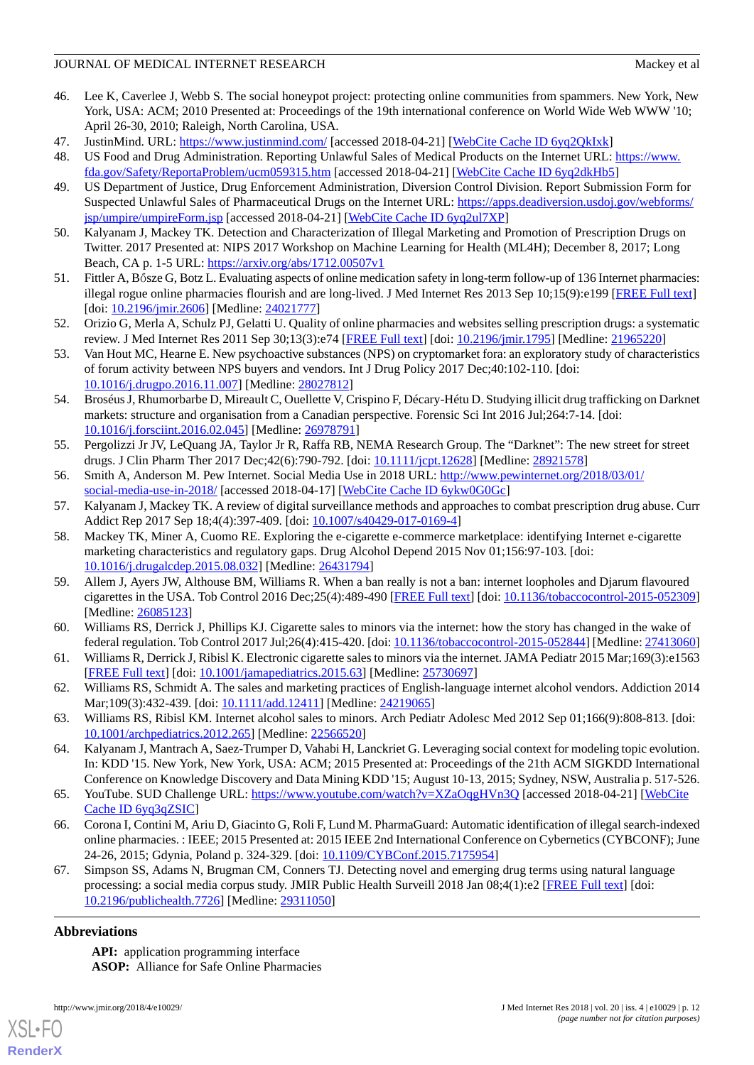## JOURNAL OF MEDICAL INTERNET RESEARCH MACKEY AND A SERIES AND MACKEY AT A MACKEY AT A MACKEY OF MEDICAL INTERNET RESEARCH

- <span id="page-11-0"></span>46. Lee K, Caverlee J, Webb S. The social honeypot project: protecting online communities from spammers. New York, New York, USA: ACM; 2010 Presented at: Proceedings of the 19th international conference on World Wide Web WWW '10; April 26-30, 2010; Raleigh, North Carolina, USA.
- <span id="page-11-2"></span><span id="page-11-1"></span>47. JustinMind. URL: <https://www.justinmind.com/> [accessed 2018-04-21] [[WebCite Cache ID 6yq2QkIxk\]](http://www.webcitation.org/

                                            6yq2QkIxk)
- <span id="page-11-3"></span>48. US Food and Drug Administration. Reporting Unlawful Sales of Medical Products on the Internet URL: [https://www.](https://www.fda.gov/Safety/ReportaProblem/ucm059315.htm) [fda.gov/Safety/ReportaProblem/ucm059315.htm](https://www.fda.gov/Safety/ReportaProblem/ucm059315.htm) [accessed 2018-04-21] [\[WebCite Cache ID 6yq2dkHb5\]](http://www.webcitation.org/

                                            6yq2dkHb5)
- <span id="page-11-4"></span>49. US Department of Justice, Drug Enforcement Administration, Diversion Control Division. Report Submission Form for Suspected Unlawful Sales of Pharmaceutical Drugs on the Internet URL: [https://apps.deadiversion.usdoj.gov/webforms/](https://apps.deadiversion.usdoj.gov/webforms/jsp/umpire/umpireForm.jsp) [jsp/umpire/umpireForm.jsp](https://apps.deadiversion.usdoj.gov/webforms/jsp/umpire/umpireForm.jsp) [accessed 2018-04-21] [\[WebCite Cache ID 6yq2ul7XP\]](http://www.webcitation.org/

                                            6yq2ul7XP)
- <span id="page-11-5"></span>50. Kalyanam J, Mackey TK. Detection and Characterization of Illegal Marketing and Promotion of Prescription Drugs on Twitter. 2017 Presented at: NIPS 2017 Workshop on Machine Learning for Health (ML4H); December 8, 2017; Long Beach, CA p. 1-5 URL:<https://arxiv.org/abs/1712.00507v1>
- <span id="page-11-6"></span>51. Fittler A, Bősze G, Botz L. Evaluating aspects of online medication safety in long-term follow-up of 136 Internet pharmacies: illegal rogue online pharmacies flourish and are long-lived. J Med Internet Res 2013 Sep 10;15(9):e199 [\[FREE Full text\]](http://www.jmir.org/2013/9/e199/) [doi: [10.2196/jmir.2606\]](http://dx.doi.org/10.2196/jmir.2606) [Medline: [24021777\]](http://www.ncbi.nlm.nih.gov/entrez/query.fcgi?cmd=Retrieve&db=PubMed&list_uids=24021777&dopt=Abstract)
- <span id="page-11-7"></span>52. Orizio G, Merla A, Schulz PJ, Gelatti U. Quality of online pharmacies and websites selling prescription drugs: a systematic review. J Med Internet Res 2011 Sep 30;13(3):e74 [\[FREE Full text\]](http://www.jmir.org/2011/3/e74/) [doi: [10.2196/jmir.1795\]](http://dx.doi.org/10.2196/jmir.1795) [Medline: [21965220\]](http://www.ncbi.nlm.nih.gov/entrez/query.fcgi?cmd=Retrieve&db=PubMed&list_uids=21965220&dopt=Abstract)
- 53. Van Hout MC, Hearne E. New psychoactive substances (NPS) on cryptomarket fora: an exploratory study of characteristics of forum activity between NPS buyers and vendors. Int J Drug Policy 2017 Dec;40:102-110. [doi: [10.1016/j.drugpo.2016.11.007\]](http://dx.doi.org/10.1016/j.drugpo.2016.11.007) [Medline: [28027812\]](http://www.ncbi.nlm.nih.gov/entrez/query.fcgi?cmd=Retrieve&db=PubMed&list_uids=28027812&dopt=Abstract)
- <span id="page-11-8"></span>54. Broséus J, Rhumorbarbe D, Mireault C, Ouellette V, Crispino F, Décary-Hétu D. Studying illicit drug trafficking on Darknet markets: structure and organisation from a Canadian perspective. Forensic Sci Int 2016 Jul;264:7-14. [doi: [10.1016/j.forsciint.2016.02.045\]](http://dx.doi.org/10.1016/j.forsciint.2016.02.045) [Medline: [26978791\]](http://www.ncbi.nlm.nih.gov/entrez/query.fcgi?cmd=Retrieve&db=PubMed&list_uids=26978791&dopt=Abstract)
- <span id="page-11-10"></span><span id="page-11-9"></span>55. Pergolizzi Jr JV, LeQuang JA, Taylor Jr R, Raffa RB, NEMA Research Group. The "Darknet": The new street for street drugs. J Clin Pharm Ther 2017 Dec; 42(6): 790-792. [doi: [10.1111/jcpt.12628](http://dx.doi.org/10.1111/jcpt.12628)] [Medline: [28921578\]](http://www.ncbi.nlm.nih.gov/entrez/query.fcgi?cmd=Retrieve&db=PubMed&list_uids=28921578&dopt=Abstract)
- <span id="page-11-11"></span>56. Smith A, Anderson M. Pew Internet. Social Media Use in 2018 URL: [http://www.pewinternet.org/2018/03/01/](http://www.pewinternet.org/2018/03/01/social-media-use-in-2018/) [social-media-use-in-2018/](http://www.pewinternet.org/2018/03/01/social-media-use-in-2018/) [accessed 2018-04-17] [[WebCite Cache ID 6ykw0G0Gc\]](http://www.webcitation.org/

                                            6ykw0G0Gc)
- 57. Kalyanam J, Mackey TK. A review of digital surveillance methods and approaches to combat prescription drug abuse. Curr Addict Rep 2017 Sep 18;4(4):397-409. [doi: [10.1007/s40429-017-0169-4\]](http://dx.doi.org/10.1007/s40429-017-0169-4)
- 58. Mackey TK, Miner A, Cuomo RE. Exploring the e-cigarette e-commerce marketplace: identifying Internet e-cigarette marketing characteristics and regulatory gaps. Drug Alcohol Depend 2015 Nov 01;156:97-103. [doi: [10.1016/j.drugalcdep.2015.08.032\]](http://dx.doi.org/10.1016/j.drugalcdep.2015.08.032) [Medline: [26431794\]](http://www.ncbi.nlm.nih.gov/entrez/query.fcgi?cmd=Retrieve&db=PubMed&list_uids=26431794&dopt=Abstract)
- 59. Allem J, Ayers JW, Althouse BM, Williams R. When a ban really is not a ban: internet loopholes and Djarum flavoured cigarettes in the USA. Tob Control 2016 Dec;25(4):489-490 [\[FREE Full text](http://europepmc.org/abstract/MED/26085123)] [doi: [10.1136/tobaccocontrol-2015-052309](http://dx.doi.org/10.1136/tobaccocontrol-2015-052309)] [Medline: [26085123](http://www.ncbi.nlm.nih.gov/entrez/query.fcgi?cmd=Retrieve&db=PubMed&list_uids=26085123&dopt=Abstract)]
- 60. Williams RS, Derrick J, Phillips KJ. Cigarette sales to minors via the internet: how the story has changed in the wake of federal regulation. Tob Control 2017 Jul;26(4):415-420. [doi: [10.1136/tobaccocontrol-2015-052844](http://dx.doi.org/10.1136/tobaccocontrol-2015-052844)] [Medline: [27413060](http://www.ncbi.nlm.nih.gov/entrez/query.fcgi?cmd=Retrieve&db=PubMed&list_uids=27413060&dopt=Abstract)]
- <span id="page-11-12"></span>61. Williams R, Derrick J, Ribisl K. Electronic cigarette sales to minors via the internet. JAMA Pediatr 2015 Mar;169(3):e1563 [[FREE Full text](http://europepmc.org/abstract/MED/25730697)] [doi: [10.1001/jamapediatrics.2015.63](http://dx.doi.org/10.1001/jamapediatrics.2015.63)] [Medline: [25730697\]](http://www.ncbi.nlm.nih.gov/entrez/query.fcgi?cmd=Retrieve&db=PubMed&list_uids=25730697&dopt=Abstract)
- <span id="page-11-13"></span>62. Williams RS, Schmidt A. The sales and marketing practices of English-language internet alcohol vendors. Addiction 2014 Mar;109(3):432-439. [doi: [10.1111/add.12411](http://dx.doi.org/10.1111/add.12411)] [Medline: [24219065](http://www.ncbi.nlm.nih.gov/entrez/query.fcgi?cmd=Retrieve&db=PubMed&list_uids=24219065&dopt=Abstract)]
- <span id="page-11-14"></span>63. Williams RS, Ribisl KM. Internet alcohol sales to minors. Arch Pediatr Adolesc Med 2012 Sep 01;166(9):808-813. [doi: [10.1001/archpediatrics.2012.265\]](http://dx.doi.org/10.1001/archpediatrics.2012.265) [Medline: [22566520\]](http://www.ncbi.nlm.nih.gov/entrez/query.fcgi?cmd=Retrieve&db=PubMed&list_uids=22566520&dopt=Abstract)
- <span id="page-11-15"></span>64. Kalyanam J, Mantrach A, Saez-Trumper D, Vahabi H, Lanckriet G. Leveraging social context for modeling topic evolution. In: KDD '15. New York, New York, USA: ACM; 2015 Presented at: Proceedings of the 21th ACM SIGKDD International Conference on Knowledge Discovery and Data Mining KDD '15; August 10-13, 2015; Sydney, NSW, Australia p. 517-526.
- <span id="page-11-16"></span>65. YouTube. SUD Challenge URL: <https://www.youtube.com/watch?v=XZaOqgHVn3Q> [accessed 2018-04-21] [\[WebCite](http://www.webcitation.org/

                                            6yq3qZSIC) [Cache ID 6yq3qZSIC\]](http://www.webcitation.org/

                                            6yq3qZSIC)
- 66. Corona I, Contini M, Ariu D, Giacinto G, Roli F, Lund M. PharmaGuard: Automatic identification of illegal search-indexed online pharmacies. : IEEE; 2015 Presented at: 2015 IEEE 2nd International Conference on Cybernetics (CYBCONF); June 24-26, 2015; Gdynia, Poland p. 324-329. [doi: [10.1109/CYBConf.2015.7175954](http://dx.doi.org/10.1109/CYBConf.2015.7175954)]
- 67. Simpson SS, Adams N, Brugman CM, Conners TJ. Detecting novel and emerging drug terms using natural language processing: a social media corpus study. JMIR Public Health Surveill 2018 Jan 08;4(1):e2 [[FREE Full text](http://publichealth.jmir.org/2018/1/e2/)] [doi: [10.2196/publichealth.7726\]](http://dx.doi.org/10.2196/publichealth.7726) [Medline: [29311050\]](http://www.ncbi.nlm.nih.gov/entrez/query.fcgi?cmd=Retrieve&db=PubMed&list_uids=29311050&dopt=Abstract)

# **Abbreviations**

[XSL](http://www.w3.org/Style/XSL)•FO **[RenderX](http://www.renderx.com/)**

**API:** application programming interface **ASOP:** Alliance for Safe Online Pharmacies